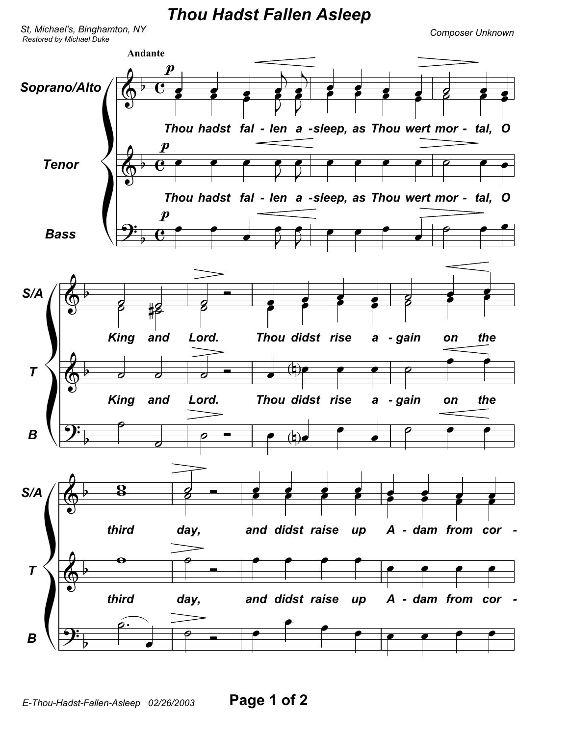*Thou Hadst Fallen Asleep*

*Restored by Michael Duke Composer Unknown St, Michael's, Binghamton, NY*